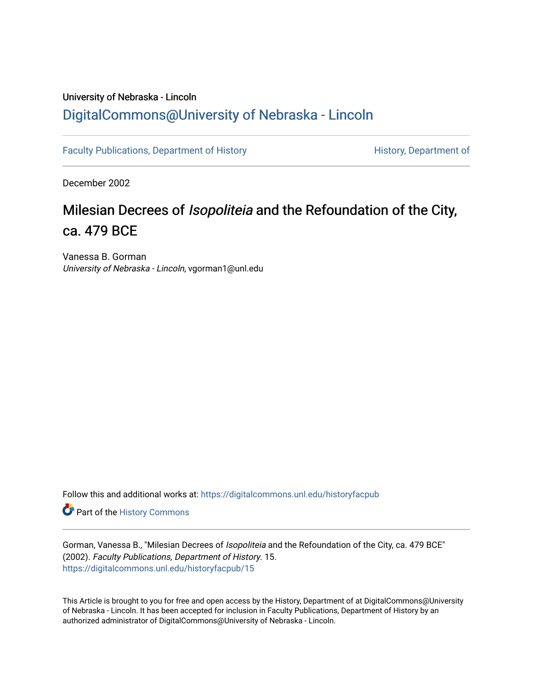## University of Nebraska - Lincoln [DigitalCommons@University of Nebraska - Lincoln](https://digitalcommons.unl.edu/)

[Faculty Publications, Department of History](https://digitalcommons.unl.edu/historyfacpub) **History** History, Department of

December 2002

# Milesian Decrees of Isopoliteia and the Refoundation of the City, ca. 479 BCE

Vanessa B. Gorman University of Nebraska - Lincoln, vgorman1@unl.edu

Follow this and additional works at: [https://digitalcommons.unl.edu/historyfacpub](https://digitalcommons.unl.edu/historyfacpub?utm_source=digitalcommons.unl.edu%2Fhistoryfacpub%2F15&utm_medium=PDF&utm_campaign=PDFCoverPages) 

Part of the [History Commons](http://network.bepress.com/hgg/discipline/489?utm_source=digitalcommons.unl.edu%2Fhistoryfacpub%2F15&utm_medium=PDF&utm_campaign=PDFCoverPages) 

Gorman, Vanessa B., "Milesian Decrees of Isopoliteia and the Refoundation of the City, ca. 479 BCE" (2002). Faculty Publications, Department of History. 15. [https://digitalcommons.unl.edu/historyfacpub/15](https://digitalcommons.unl.edu/historyfacpub/15?utm_source=digitalcommons.unl.edu%2Fhistoryfacpub%2F15&utm_medium=PDF&utm_campaign=PDFCoverPages)

This Article is brought to you for free and open access by the History, Department of at DigitalCommons@University of Nebraska - Lincoln. It has been accepted for inclusion in Faculty Publications, Department of History by an authorized administrator of DigitalCommons@University of Nebraska - Lincoln.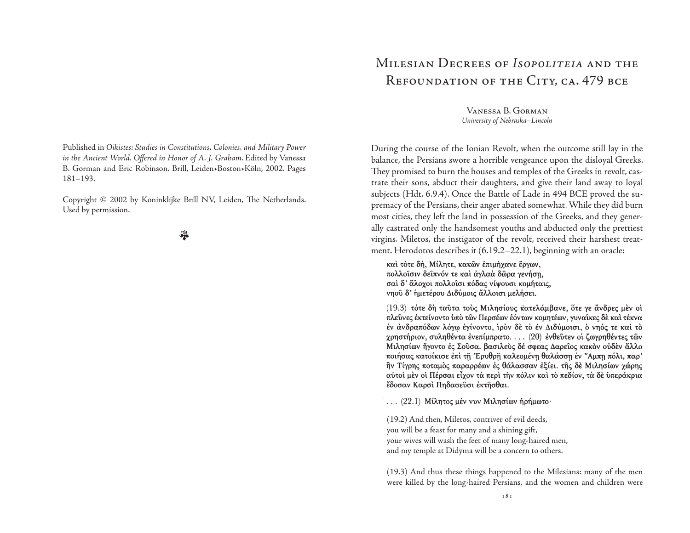Published in *Oikistes: Studies in Constitutions, Colonies, and Military Power*  in the Ancient World. Offered in Honor of A. J. Graham. Edited by Vanessa B. Gorman and Eric Robinson. Brill, Leiden•Boston•Köln, 2002. Pages 181–193.

Copyright © 2002 by Koninklijke Brill NV, Leiden, The Netherlands. Used by permission.

嗓

### Milesian Decrees of *Isopoliteia* and the REFOUNDATION OF THE CITY, CA. 479 BCE

Vanessa B. Gorman*University of Nebraska–Lincoln*

During the course of the Ionian Revolt, when the outcome still lay in the balance, the Persians swore a horrible vengeance upon the disloyal Greeks. They promised to burn the houses and temples of the Greeks in revolt, castrate their sons, abduct their daughters, and give their land away to loyal subjects (Hdt. 6.9.4). Once the Battle of Lade in 494 BCE proved the supremacy of the Persians, their anger abated somewhat. While they did burn most cities, they left the land in possession of the Greeks, and they generally castrated only the handsomest youths and abducted only the prettiest virgins. Miletos, the instigator of the revolt, received their harshest treatment. Herodotos describes it (6.19.2–22.1), beginning with an oracle:

και τότε δή, Μίλητε, κακών έπιμήχανε έργων, πολλοΐσιν δεΐπνόν τε και άγλαα δώρα γενήση, σαί δ' άλοχοι πολλοΐσι πόδας νίψουσι κομήταις, νηού δ' ημετέρου Διδύμοις άλλοισι μελήσει.

(19.3) τότε δή ταύτα τούς Μιλησίους κατελάμβανε, ότε γε άνδρες μέν οί πλεύνες έκτείνοντο υπό των Περσέων έόντων κομητέων, γυναίκες δε και τέκνα έν άνδραπόδων λόγφ έγίνοντο, ίρὸν δὲ τὸ ἐν Διδύμοισι, ὁ νηός τε καί τὸ χρηστήριον, συληθέντα ένεπίμπρατο.... (20) ένθεύτεν οι ζωγρηθέντες των Μιλησίων ήγοντο ές Σούσα. βασιλεύς δέ σφεας Δαρείος κακόν ούδεν άλλο ποιήσας κατοίκισε έπι τη Έρυθρη καλεομένη θαλάσση έν "Αμπη πόλι, παρ' ην Τίγρης ποταμός παραρρέων ές θάλασσαν έξίει. της δε Μιλησίων χώρης αύτοί μέν οί Πέρσαι είχον τὰ περί τὴν πόλιν καὶ τὸ πεδίον, τὰ δὲ ὑπεράκρια έδοσαν Καρσὶ Πηδασεῦσι ἐκτῆσθαι.

 $\ldots$  (22.1) Μίλητος μέν νυν Μιλησίων ήρήμωτο

(19.2) And then, Miletos, contriver of evil deeds, you will be a feast for many and a shining gift, your wives will wash the feet of many long-haired men, and my temple at Didyma will be a concern to others.

(19.3) And thus these things happened to the Milesians: many of the men were killed by the long-haired Persians, and the women and children were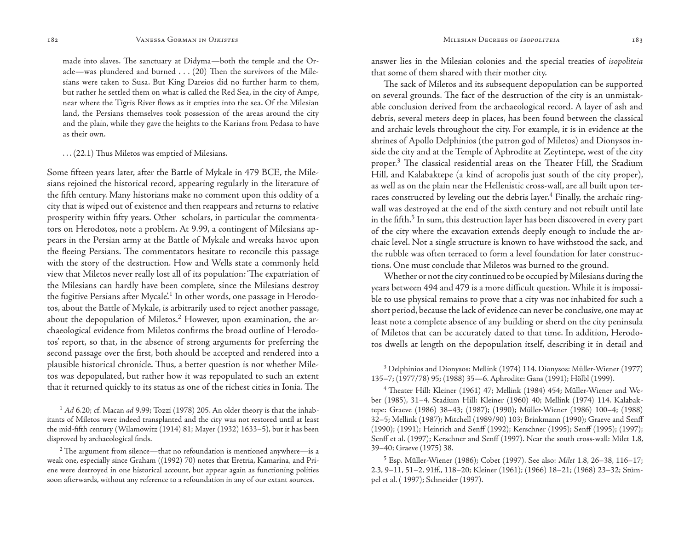made into slaves. The sanctuary at Didyma—both the temple and the Oracle—was plundered and burned  $\ldots$  (20) Then the survivors of the Milesians were taken to Susa. But King Dareios did no further harm to them, but rather he settled them on what is called the Red Sea, in the city of Ampe, near where the Tigris River flows as it empties into the sea. Of the Milesian land, the Persians themselves took possession of the areas around the city and the plain, while they gave the heights to the Karians from Pedasa to have as their own.

 $\ldots$  (22.1) Thus Miletos was emptied of Milesians.

Some fifteen years later, after the Battle of Mykale in 479 BCE, the Milesians rejoined the historical record, appearing regularly in the literature of the fifth century. Many historians make no comment upon this oddity of a city that is wiped out of existence and then reappears and returns to relative prosperity within fifty years. Other scholars, in particular the commentators on Herodotos, note a problem. At 9.99, a contingent of Milesians appears in the Persian army at the Battle of Mykale and wreaks havoc upon the fleeing Persians. The commentators hesitate to reconcile this passage with the story of the destruction. How and Wells state a commonly held view that Miletos never really lost all of its population: 'The expatriation of the Milesians can hardly have been complete, since the Milesians destroy the fugitive Persians after Mycale<sup>'1</sup> In other words, one passage in Herodotos, about the Battle of Mykale, is arbitrarily used to reject another passage, about the depopulation of Miletos.<sup>2</sup> However, upon examination, the archaeological evidence from Miletos confirms the broad outline of Herodotos' report, so that, in the absence of strong arguments for preferring the second passage over the first, both should be accepted and rendered into a plausible historical chronicle. Thus, a better question is not whether Miletos was depopulated, but rather how it was repopulated to such an extent that it returned quickly to its status as one of the richest cities in Ionia. The

 $2$  The argument from silence—that no refoundation is mentioned anywhere—is a weak one, especially since Graham ((1992) 70) notes that Eretria, Kamarina, and Priene were destroyed in one historical account, but appear again as functioning polities soon afterwards, without any reference to a refoundation in any of our extant sources.

answer lies in the Milesian colonies and the special treaties of *isopoliteia* that some of them shared with their mother city.

The sack of Miletos and its subsequent depopulation can be supported on several grounds. The fact of the destruction of the city is an unmistakable conclusion derived from the archaeological record. A layer of ash and debris, several meters deep in places, has been found between the classical and archaic levels throughout the city. For example, it is in evidence at the shrines of Apollo Delphinios (the patron god of Miletos) and Dionysos inside the city and at the Temple of Aphrodite at Zeytintepe, west of the city proper.<sup>3</sup> The classical residential areas on the Theater Hill, the Stadium Hill, and Kalabaktepe (a kind of acropolis just south of the city proper), as well as on the plain near the Hellenistic cross-wall, are all built upon terraces constructed by leveling out the debris layer.4 Finally, the archaic ringwall was destroyed at the end of the sixth century and not rebuilt until late in the fifth.<sup>5</sup> In sum, this destruction layer has been discovered in every part of the city where the excavation extends deeply enough to include the archaic level. Not a single structure is known to have withstood the sack, and the rubble was often terraced to form a level foundation for later constructions. One must conclude that Miletos was burned to the ground.

Whether or not the city continued to be occupied by Milesians during the years between 494 and 479 is a more difficult question. While it is impossible to use physical remains to prove that a city was not inhabited for such a short period, because the lack of evidence can never be conclusive, one may at least note a complete absence of any building or sherd on the city peninsula of Miletos that can be accurately dated to that time. In addition, Herodotos dwells at length on the depopulation itself, describing it in detail and

3 Delphinios and Dionysos: Mellink (1974) 114. Dionysos: Müller-Wiener (1977) 135–7; (1977/78) 95; (1988) 35—6. Aphrodite: Gans (1991); Hölbl (1999).

<sup>4</sup> Theater Hill: Kleiner (1961) 47; Mellink (1984) 454; Müller-Wiener and Weber (1985), 31–4. Stadium Hill: Kleiner (1960) 40; Mellink (1974) 114. Kalabaktepe: Graeve (1986) 38–43; (1987); (1990); Müller-Wiener (1986) 100–4; (1988) 32–5; Mellink (1987); Mitchell (1989/90) 103; Brinkmann (1990); Graeve and Senff (1990); (1991); Heinrich and Senff (1992); Kerschner (1995); Senff (1995); (1997); Senff et al. (1997); Kerschner and Senff (1997). Near the south cross-wall: Milet 1.8, 39–40; Graeve (1975) 38.

5 Esp. Müller-Wiener (1986); Cobet (1997). See also: *Milet* 1.8, 26–38, 116–17; 2.3, 9-11, 51-2, 91ff., 118-20; Kleiner (1961); (1966) 18-21; (1968) 23-32; Stümpel et al. ( 1997); Schneider (1997).

<sup>1</sup> *Ad* 6.20; cf. Macan *ad* 9.99; Tozzi (1978) 205. An older theory is that the inhabitants of Miletos were indeed transplanted and the city was not restored until at least the mid-fifth century (Wilamowitz (1914) 81; Mayer (1932) 1633–5), but it has been disproved by archaeological finds.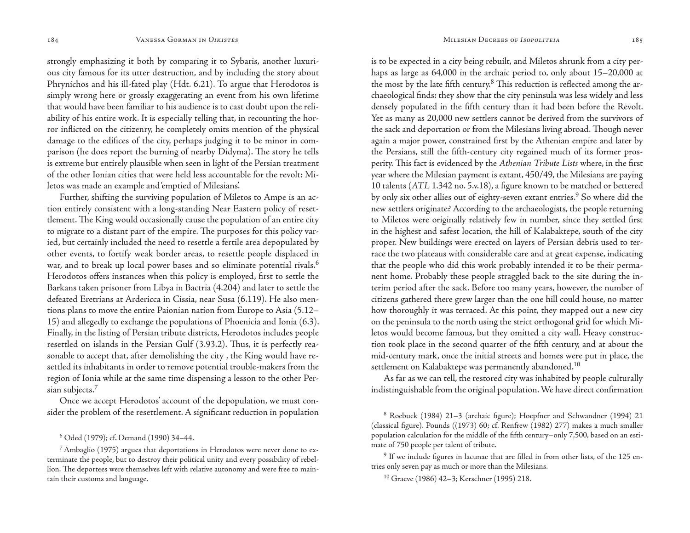strongly emphasizing it both by comparing it to Sybaris, another luxurious city famous for its utter destruction, and by including the story about Phrynichos and his ill-fated play (Hdt. 6.21). To argue that Herodotos is simply wrong here or grossly exaggerating an event from his own lifetime that would have been familiar to his audience is to cast doubt upon the reliability of his entire work. It is especially telling that, in recounting the horror inflicted on the citizenry, he completely omits mention of the physical damage to the edifices of the city, perhaps judging it to be minor in comparison (he does report the burning of nearby Didyma). The story he tells is extreme but entirely plausible when seen in light of the Persian treatment of the other Ionian cities that were held less accountable for the revolt: Miletos was made an example and 'emptied of Milesians'.

Further, shifting the surviving population of Miletos to Ampe is an action entirely consistent with a long-standing Near Eastern policy of resettlement. The King would occasionally cause the population of an entire city to migrate to a distant part of the empire. The purposes for this policy varied, but certainly included the need to resettle a fertile area depopulated by other events, to fortify weak border areas, to resettle people displaced in war, and to break up local power bases and so eliminate potential rivals.<sup>6</sup> Herodotos offers instances when this policy is employed, first to settle the Barkans taken prisoner from Libya in Bactria (4.204) and later to settle the defeated Eretrians at Ardericca in Cissia, near Susa (6.119). He also mentions plans to move the entire Paionian nation from Europe to Asia (5.12– 15) and allegedly to exchange the populations of Phoenicia and Ionia (6.3). Finally, in the listing of Persian tribute districts, Herodotos includes people resettled on islands in the Persian Gulf (3.93.2). Thus, it is perfectly reasonable to accept that, after demolishing the city , the King would have resettled its inhabitants in order to remove potential trouble-makers from the region of Ionia while at the same time dispensing a lesson to the other Persian subjects.<sup>7</sup>

Once we accept Herodotos' account of the depopulation, we must consider the problem of the resettlement. A significant reduction in population

7 Ambaglio (1975) argues that deportations in Herodotos were never done to exterminate the people, but to destroy their political unity and every possibility of rebellion. The deportees were themselves left with relative autonomy and were free to maintain their customs and language.

is to be expected in a city being rebuilt, and Miletos shrunk from a city perhaps as large as 64,000 in the archaic period to, only about 15–20,000 at the most by the late fifth century. $8$  This reduction is reflected among the archaeological finds: they show that the city peninsula was less widely and less densely populated in the fifth century than it had been before the Revolt. Yet as many as 20,000 new settlers cannot be derived from the survivors of the sack and deportation or from the Milesians living abroad. Though never again a major power, constrained first by the Athenian empire and later by the Persians, still the fifth-century city regained much of its former prosperity. This fact is evidenced by the *Athenian Tribute Lists* where, in the first year where the Milesian payment is extant, 450/49, the Milesians are paying 10 talents (ATL 1.342 no. 5.v.18), a figure known to be matched or bettered by only six other allies out of eighty-seven extant entries.9 So where did the new settlers originate? According to the archaeologists, the people returning to Miletos were originally relatively few in number, since they settled first in the highest and safest location, the hill of Kalabaktepe, south of the city proper. New buildings were erected on layers of Persian debris used to terrace the two plateaus with considerable care and at great expense, indicating that the people who did this work probably intended it to be their permanent home. Probably these people straggled back to the site during the interim period after the sack. Before too many years, however, the number of citizens gathered there grew larger than the one hill could house, no matter how thoroughly it was terraced. At this point, they mapped out a new city on the peninsula to the north using the strict orthogonal grid for which Miletos would become famous, but they omitted a city wall. Heavy construction took place in the second quarter of the fifth century, and at about the mid-century mark, once the initial streets and homes were put in place, the settlement on Kalabaktepe was permanently abandoned.<sup>10</sup>

As far as we can tell, the restored city was inhabited by people culturally indistinguishable from the original population. We have direct confirmation

8 Roebuck (1984) 21-3 (archaic figure); Hoepfner and Schwandner (1994) 21 (classical figure). Pounds ((1973) 60; cf. Renfrew (1982) 277) makes a much smaller population calculation for the middle of the fifth century–only 7,500, based on an estimate of 750 people per talent of tribute.

 $9$  If we include figures in lacunae that are filled in from other lists, of the 125 entries only seven pay as much or more than the Milesians.

10 Graeve (1986) 42–3; Kerschner (1995) 218.

<sup>6</sup> Oded (1979); cf. Demand (1990) 34–44.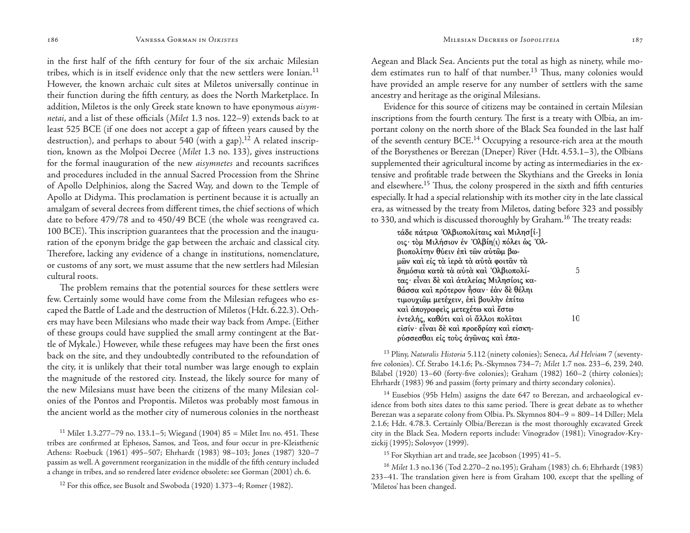in the first half of the fifth century for four of the six archaic Milesian tribes, which is in itself evidence only that the new settlers were Ionian.<sup>11</sup> However, the known archaic cult sites at Miletos universally continue in their function during the fifth century, as does the North Marketplace. In addition, Miletos is the only Greek state known to have eponymous *aisymnetai*, and a list of these officials (*Milet* 1.3 nos. 122-9) extends back to at least 525 BCE (if one does not accept a gap of fifteen years caused by the destruction), and perhaps to about 540 (with a gap).<sup>12</sup> A related inscription, known as the Molpoi Decree (*Milet* 1.3 no. 133), gives instructions for the formal inauguration of the new *aisymnetes* and recounts sacrifices and procedures included in the annual Sacred Procession from the Shrine of Apollo Delphinios, along the Sacred Way, and down to the Temple of Apollo at Didyma. This proclamation is pertinent because it is actually an amalgam of several decrees from different times, the chief sections of which date to before 479/78 and to 450/49 BCE (the whole was reengraved ca. 100 BCE). This inscription guarantees that the procession and the inauguration of the eponym bridge the gap between the archaic and classical city. Therefore, lacking any evidence of a change in institutions, nomenclature, or customs of any sort, we must assume that the new settlers had Milesian cultural roots.

The problem remains that the potential sources for these settlers were few. Certainly some would have come from the Milesian refugees who escaped the Battle of Lade and the destruction of Miletos (Hdt. 6.22.3). Others may have been Milesians who made their way back from Ampe. (Either of these groups could have supplied the small army contingent at the Battle of Mykale.) However, while these refugees may have been the first ones back on the site, and they undoubtedly contributed to the refoundation of the city, it is unlikely that their total number was large enough to explain the magnitude of the restored city. Instead, the likely source for many of the new Milesians must have been the citizens of the many Milesian colonies of the Pontos and Propontis. Miletos was probably most famous in the ancient world as the mother city of numerous colonies in the northeast

<sup>11</sup> Milet 1.3.277–79 no. 133.1–5; Wiegand (1904) 85 = Milet Inv. no. 451. These tribes are confirmed at Ephesos, Samos, and Teos, and four occur in pre-Kleisthenic Athens: Roebuck (1961) 495–507; Ehrhardt (1983) 98–103; Jones (1987) 320–7 passim as well. A government reorganization in the middle of the fifth century included a change in tribes, and so rendered later evidence obsolete: see Gorman (2001) ch. 6.

 $12$  For this office, see Busolt and Swoboda (1920) 1.373-4; Romer (1982).

Aegean and Black Sea. Ancients put the total as high as ninety, while modem estimates run to half of that number.<sup>13</sup> Thus, many colonies would have provided an ample reserve for any number of settlers with the same ancestry and heritage as the original Milesians.

Evidence for this source of citizens may be contained in certain Milesian inscriptions from the fourth century. The first is a treaty with Olbia, an important colony on the north shore of the Black Sea founded in the last half of the seventh century BCE.<sup>14</sup> Occupying a resource-rich area at the mouth of the Borysthenes or Berezan (Dneper) River (Hdt. 4.53.1–3), the Olbians supplemented their agricultural income by acting as intermediaries in the extensive and profitable trade between the Skythians and the Greeks in Ionia and elsewhere.<sup>15</sup> Thus, the colony prospered in the sixth and fifth centuries especially. It had a special relationship with its mother city in the late classical era, as witnessed by the treaty from Miletos, dating before 323 and possibly to 330, and which is discussed thoroughly by Graham.<sup>16</sup> The treaty reads:

τάδε πάτρια Όλβιοπολίταις και Μιλησ[ί-] οις· τὸμ Μιλήσιον ἐν Ὀλβίη(ι) πόλει ώς Όλβιοπολίτην θύειν έπι των αύτωμ βωμῶν καὶ είς τὰ ἱερὰ τὰ αὐτὰ φοιτᾶν τὰ δημόσια κατά τὰ αὐτὰ καὶ Όλβιοπολίτας· είναι δε και άτελείας Μιλησίοις καθάσσα και πρότερον ήσαν· έαν δε θέληι τιμουχιώμ μετέχειν, έπι βουλήν έπίτω καὶ ἀπογραφεὶς μετεχέτω καὶ ἔστω  $10$ έντελής, καθότι καὶ οἱ ἄλλοι πολῖται είσίν· είναι δε και προεδρίαγ και είσκηρύσσεσθαι είς τους άγωνας και έπα-

13 Pliny, *Naturalis Historia* 5.112 (ninety colonies); Seneca, *Ad Helviam* 7 (seventyfi ve colonies). Cf. Strabo 14.1.6; Ps.-Skymnos 734–7; *Milet* 1.7 nos. 233–6, 239, 240. Bilabel (1920) 13-60 (forty-five colonies); Graham (1982) 160-2 (thirty colonies); Ehrhardt (1983) 96 and passim (forty primary and thirty secondary colonies).

5

14 Eusebios (95b Helm) assigns the date 647 to Berezan, and archaeological evidence from both sites dates to this same period. There is great debate as to whether Berezan was a separate colony from Olbia. Ps. Skymnos 804–9 = 809–14 Diller; Mela 2.1.6; Hdt. 4.78.3. Certainly Olbia/Berezan is the most thoroughly excavated Greek city in the Black Sea. Modern reports include: Vinogradov (1981); Vinogradov-Kryzickij (1995); Solovyov (1999).

15 For Skythian art and trade, see Jacobson (1995) 41–5.

16 *Milet* 1.3 no.136 (Tod 2.270–2 no.195); Graham (1983) ch. 6; Ehrhardt (1983) 233–41. The translation given here is from Graham 100, except that the spelling of 'Miletos' has been changed.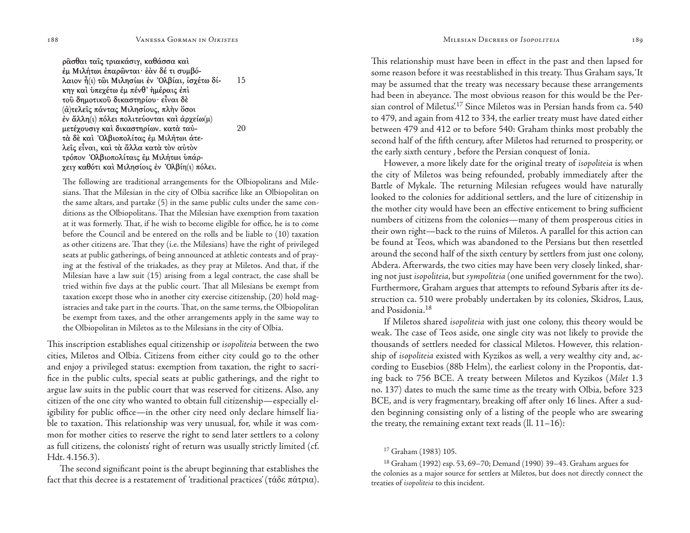ρᾶσθαι ταῖς τριακάσιγ, καθάσσα καὶ έμ Μιλήτωι έπαρῶνται· έὰν δέ τι συμβόλαιον ή(ι) τωι Μιλησίωι έν Όλβίαι, ισχέτω δίκηγ και υπεχέτω έμ πένθ' ημέραις έπι τού δημοτικού δικαστηρίου· είναι δέ (ά)τελείς πάντας Μιλησίους, πλήν όσοι έν άλλη(ι) πόλει πολιτεύονται και άρχείω(μ) μετέχουσιγ και δικαστηρίων, κατά ταύτά δε και Όλβιοπολίτας έμ Μιλήτωι άτελείς είναι, και τα άλλα κατά τον αύτον τρόπον Όλβιοπολίταις έμ Μιλήτωι υπάρχειγ καθότι και Μιλησίοις έν 'Ολβίη(ι) πόλει.

20

15

The following are traditional arrangements for the Olbiopolitans and Milesians. That the Milesian in the city of Olbia sacrifice like an Olbiopolitan on the same altars, and partake (5) in the same public cults under the same conditions as the Olbiopolitans. That the Milesian have exemption from taxation at it was formerly. That, if he wish to become eligible for office, he is to come before the Council and be entered on the rolls and be liable to (10) taxation as other citizens are. That they (i.e. the Milesians) have the right of privileged seats at public gatherings, of being announced at athletic contests and of praying at the festival of the triakades, as they pray at Miletos. And that, if the Milesian have a law suit (15) arising from a legal contract, the case shall be tried within five days at the public court. That all Milesians be exempt from taxation except those who in another city exercise citizenship, (20) hold magistracies and take part in the courts. That, on the same terms, the Olbiopolitan be exempt from taxes, and the other arrangements apply in the same way to the Olbiopolitan in Miletos as to the Milesians in the city of Olbia.

This inscription establishes equal citizenship or *isopoliteia* between the two cities, Miletos and Olbia. Citizens from either city could go to the other and enjoy a privileged status: exemption from taxation, the right to sacrifice in the public cults, special seats at public gatherings, and the right to argue law suits in the public court that was reserved for citizens. Also, any citizen of the one city who wanted to obtain full citizenship—especially eligibility for public office—in the other city need only declare himself liable to taxation. This relationship was very unusual, for, while it was common for mother cities to reserve the right to send later settlers to a colony as full citizens, the colonists' right of return was usually strictly limited (cf. Hdt. 4.156.3).

The second significant point is the abrupt beginning that establishes the fact that this decree is a restatement of 'traditional practices' (τάδε πάτρια).

This relationship must have been in effect in the past and then lapsed for some reason before it was reestablished in this treaty. Thus Graham says, 'It may be assumed that the treaty was necessary because these arrangements had been in abeyance. The most obvious reason for this would be the Persian control of Miletus<sup>'17</sup> Since Miletos was in Persian hands from ca. 540 to 479, and again from 412 to 334, the earlier treaty must have dated either between 479 and 412 or to before 540: Graham thinks most probably the second half of the fifth century, after Miletos had returned to prosperity, or the early sixth century , before the Persian conquest of Ionia.

However, a more likely date for the original treaty of *isopoliteia* is when the city of Miletos was being refounded, probably immediately after the Battle of Mykale. The returning Milesian refugees would have naturally looked to the colonies for additional settlers, and the lure of citizenship in the mother city would have been an effective enticement to bring sufficient numbers of citizens from the colonies—many of them prosperous cities in their own right—back to the ruins of Miletos. A parallel for this action can be found at Teos, which was abandoned to the Persians but then resettled around the second half of the sixth century by settlers from just one colony, Abdera. Afterwards, the two cities may have been very closely linked, sharing not just *isopoliteia*, but *sympoliteia* (one unified government for the two). Furthermore, Graham argues that attempts to refound Sybaris after its destruction ca. 510 were probably undertaken by its colonies, Skidros, Laus, and Posidonia.<sup>18</sup>

If Miletos shared *isopoliteia* with just one colony, this theory would be weak. The case of Teos aside, one single city was not likely to provide the thousands of settlers needed for classical Miletos. However, this relationship of *isopoliteia* existed with Kyzikos as well, a very wealthy city and, according to Eusebios (88b Helm), the earliest colony in the Propontis, dating back to 756 BCE. A treaty between Miletos and Kyzikos (*Milet* 1.3 no. 137) dates to much the same time as the treaty with Olbia, before 323 BCE, and is very fragmentary, breaking off after only 16 lines. After a sudden beginning consisting only of a listing of the people who are swearing the treaty, the remaining extant text reads  $(1l. 11-16)$ :

#### 17 Graham (1983) 105.

18 Graham (1992) esp. 53, 69–70; Demand (1990) 39–43. Graham argues for the colonies as a major source for settlers at Miletos, but does not directly connect the treaties of *isopoliteia* to this incident.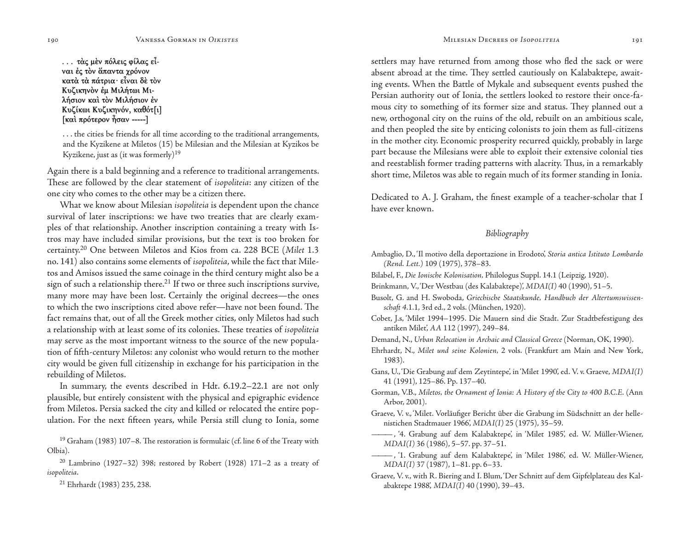... τὰς μὲν πόλεις φίλας εἶναι ές τον άπαντα γρόνον κατά τά πάτρια· είναι δε τον Κυζικηνόν έμ Μιλήτωι Μιλήσιον και τον Μιλήσιον έν Κυζίκωι Κυζικηνόν, καθότ[ι] [καὶ πρότερον ἦσαν -----]

. . . the cities be friends for all time according to the traditional arrangements, and the Kyzikene at Miletos (15) be Milesian and the Milesian at Kyzikos be Kyzikene, just as (it was formerly)<sup>19</sup>

Again there is a bald beginning and a reference to traditional arrangements. These are followed by the clear statement of *isopoliteia*: any citizen of the one city who comes to the other may be a citizen there.

What we know about Milesian *isopoliteia* is dependent upon the chance survival of later inscriptions: we have two treaties that are clearly examples of that relationship. Another inscription containing a treaty with Istros may have included similar provisions, but the text is too broken for certainty.20 One between Miletos and Kios from ca. 228 BCE (*Milet* 1.3 no. 141) also contains some elements of *isopoliteia*, while the fact that Miletos and Amisos issued the same coinage in the third century might also be a sign of such a relationship there.<sup>21</sup> If two or three such inscriptions survive, many more may have been lost. Certainly the original decrees—the ones to which the two inscriptions cited above refer—have not been found. The fact remains that, out of all the Greek mother cities, only Miletos had such a relationship with at least some of its colonies. These treaties of *isopoliteia* may serve as the most important witness to the source of the new population of fifth-century Miletos: any colonist who would return to the mother city would be given full citizenship in exchange for his participation in the rebuilding of Miletos.

In summary, the events described in Hdt. 6.19.2–22.1 are not only <sup>p</sup>lausible, but entirely consistent with the physical and epigraphic evidence from Miletos. Persia sacked the city and killed or relocated the entire population. For the next fifteen years, while Persia still clung to Ionia, some

<sup>19</sup> Graham (1983) 107–8. The restoration is formulaic (cf. line 6 of the Treaty with Olbia).

- $20$  Lambrino (1927–32) 398; restored by Robert (1928) 171–2 as a treaty of *isopoliteia*.
	- 21 Ehrhardt (1983) 235, 238.

settlers may have returned from among those who fled the sack or were absent abroad at the time. They settled cautiously on Kalabaktepe, awaiting events. When the Battle of Mykale and subsequent events pushed the Persian authority out of Ionia, the settlers looked to restore their once-famous city to something of its former size and status. They planned out a new, orthogonal city on the ruins of the old, rebuilt on an ambitious scale, and then peopled the site by enticing colonists to join them as full-citizens in the mother city. Economic prosperity recurred quickly, probably in large part because the Milesians were able to exploit their extensive colonial ties and reestablish former trading patterns with alacrity. Thus, in a remarkably short time, Miletos was able to regain much of its former standing in Ionia.

Dedicated to A. J. Graham, the finest example of a teacher-scholar that I have ever known.

#### *Bibliography*

- Ambaglio, D., 'Il motivo della deportazione in Erodoto', *Storia antica Istituto Lombardo (Rend. Lett.)* 109 (1975), 378–83.
- Bilabel, F., *Die Ionische Kolonisation,* Philologus Suppl. 14.1 (Leipzig, 1920).
- Brinkmann, V., 'Der Westbau (des Kalabaktepe)', *MDAI(I)* 40 (1990), 51–5.
- Busolt, G. and H. Swoboda, *Griechische Staatskunde, Handbuch der Altertumswissenschaft 4*.1.1, 3rd ed., 2 vols. (München, 1920).
- Cobet, J.s, 'Milet 1994–1995. Die Mauern sind die Stadt. Zur Stadtbefestigung des antiken Milet', *AA* 112 (1997), 249–84.
- Demand, N., *Urban Relocation in Archaic and Classical Greece* (Norman, OK, 1990).
- Ehrhardt, N., *Milet und seine Kolonien,* 2 vols. (Frankfurt am Main and New York, 1983).
- Gans, U., 'Die Grabung auf dem Zeytintepe', in 'Milet 1990', ed. V. v. Graeve, *MDAI(I)*  41 (1991), 125–86. Pp. 137–40.
- Gorman, V.B., *Miletos, the Ornament of Ionia: A History of the City to 400 B.C.E.* (Ann Arbor, 2001).
- Graeve, V. v., 'Milet. Vorläufiger Bericht über die Grabung im Südschnitt an der hellenistichen Stadtmauer 1966', *MDAI(I)* 25 (1975), 35–59.
- ——— , '4. Grabung auf dem Kalabaktepe', in 'Milet 1985', ed. W. Müller-Wiener, *MDAI(I)* 36 (1986), 5–57. pp. 37–51.
- ——— , '1. Grabung auf dem Kalabaktepe', in 'Milet 1986', ed. W. Müller-Wiener, *MDAI(I)* 37 (1987), 1–81. pp. 6–33.
- Graeve, V. v., with R. Biering and I. Blum, 'Der Schnitt auf dem Gipfelplateau des Kalabaktepe 1988', *MDAI(I)* 40 (1990), 39–43.